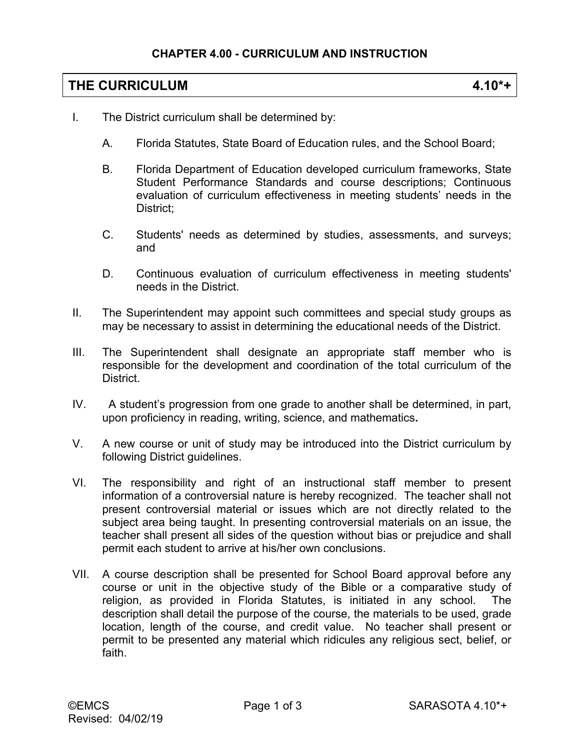# **THE CURRICULUM 4.10\*+**

- I. The District curriculum shall be determined by:
	- A. Florida Statutes, State Board of Education rules, and the School Board;
	- B. Florida Department of Education developed curriculum frameworks, State Student Performance Standards and course descriptions; Continuous evaluation of curriculum effectiveness in meeting students' needs in the District;
	- C. Students' needs as determined by studies, assessments, and surveys; and
	- D. Continuous evaluation of curriculum effectiveness in meeting students' needs in the District.
- II. The Superintendent may appoint such committees and special study groups as may be necessary to assist in determining the educational needs of the District.
- III. The Superintendent shall designate an appropriate staff member who is responsible for the development and coordination of the total curriculum of the **District.**
- IV. A student's progression from one grade to another shall be determined, in part, upon proficiency in reading, writing, science, and mathematics**.**
- V. A new course or unit of study may be introduced into the District curriculum by following District guidelines.
- VI. The responsibility and right of an instructional staff member to present information of a controversial nature is hereby recognized. The teacher shall not present controversial material or issues which are not directly related to the subject area being taught. In presenting controversial materials on an issue, the teacher shall present all sides of the question without bias or prejudice and shall permit each student to arrive at his/her own conclusions.
- VII. A course description shall be presented for School Board approval before any course or unit in the objective study of the Bible or a comparative study of religion, as provided in Florida Statutes, is initiated in any school. The description shall detail the purpose of the course, the materials to be used, grade location, length of the course, and credit value. No teacher shall present or permit to be presented any material which ridicules any religious sect, belief, or faith.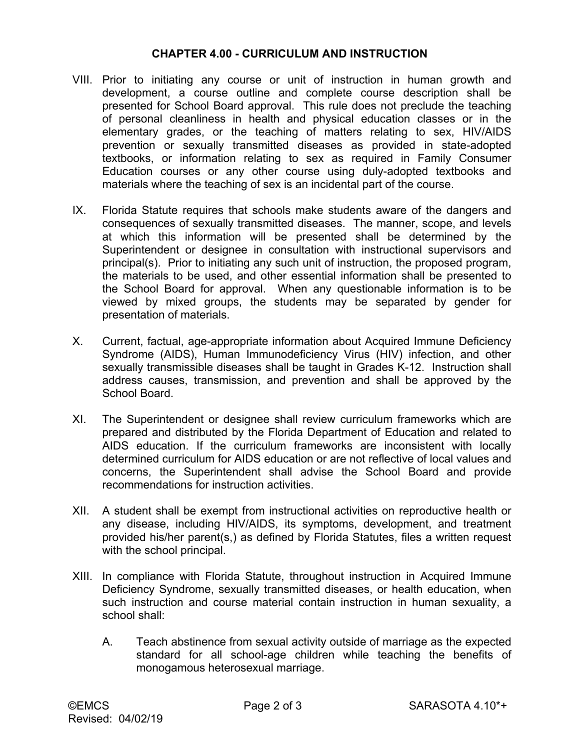### **CHAPTER 4.00 - CURRICULUM AND INSTRUCTION**

- VIII. Prior to initiating any course or unit of instruction in human growth and development, a course outline and complete course description shall be presented for School Board approval. This rule does not preclude the teaching of personal cleanliness in health and physical education classes or in the elementary grades, or the teaching of matters relating to sex, HIV/AIDS prevention or sexually transmitted diseases as provided in state-adopted textbooks, or information relating to sex as required in Family Consumer Education courses or any other course using duly-adopted textbooks and materials where the teaching of sex is an incidental part of the course.
- IX. Florida Statute requires that schools make students aware of the dangers and consequences of sexually transmitted diseases. The manner, scope, and levels at which this information will be presented shall be determined by the Superintendent or designee in consultation with instructional supervisors and principal(s). Prior to initiating any such unit of instruction, the proposed program, the materials to be used, and other essential information shall be presented to the School Board for approval. When any questionable information is to be viewed by mixed groups, the students may be separated by gender for presentation of materials.
- X. Current, factual, age-appropriate information about Acquired Immune Deficiency Syndrome (AIDS), Human Immunodeficiency Virus (HIV) infection, and other sexually transmissible diseases shall be taught in Grades K-12. Instruction shall address causes, transmission, and prevention and shall be approved by the School Board.
- XI. The Superintendent or designee shall review curriculum frameworks which are prepared and distributed by the Florida Department of Education and related to AIDS education. If the curriculum frameworks are inconsistent with locally determined curriculum for AIDS education or are not reflective of local values and concerns, the Superintendent shall advise the School Board and provide recommendations for instruction activities.
- XII. A student shall be exempt from instructional activities on reproductive health or any disease, including HIV/AIDS, its symptoms, development, and treatment provided his/her parent(s,) as defined by Florida Statutes, files a written request with the school principal.
- XIII. In compliance with Florida Statute, throughout instruction in Acquired Immune Deficiency Syndrome, sexually transmitted diseases, or health education, when such instruction and course material contain instruction in human sexuality, a school shall:
	- A. Teach abstinence from sexual activity outside of marriage as the expected standard for all school-age children while teaching the benefits of monogamous heterosexual marriage.